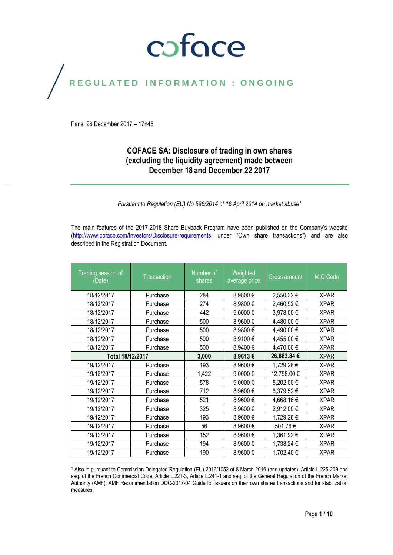## coface

## REGULATED INFORMATION : ONGOING

Paris, 26 December 2017 – 17h45

#### **COFACE SA: Disclosure of trading in own shares (excluding the liquidity agreement) made between December 18 and December 22 2017**

*Pursuant to Regulation (EU) No 596/2014 of 16 April 2014 on market abuse<sup>1</sup>*

The main features of the 2017-2018 Share Buyback Program have been published on the Company's website [\(http://www.coface.com/Investors/Disclosure-requirements](http://www.coface.com/Investors/Disclosure-requirements), under "Own share transactions") and are also described in the Registration Document.

| Trading session of<br>(Date) | <b>Transaction</b> | Number of<br>shares | Weighted<br>average price | Gross amount | <b>MIC Code</b> |
|------------------------------|--------------------|---------------------|---------------------------|--------------|-----------------|
| 18/12/2017                   | Purchase           | 284                 | 8.9800€                   | 2,550.32€    | <b>XPAR</b>     |
| 18/12/2017                   | Purchase           | 274                 | 8.9800€                   | 2,460.52€    | <b>XPAR</b>     |
| 18/12/2017                   | Purchase           | 442                 | 9.0000€                   | 3,978.00 €   | <b>XPAR</b>     |
| 18/12/2017                   | Purchase           | 500                 | 8.9600€                   | 4,480.00 €   | <b>XPAR</b>     |
| 18/12/2017                   | Purchase           | 500                 | 8.9800€                   | 4,490.00 €   | <b>XPAR</b>     |
| 18/12/2017                   | Purchase           | 500                 | 8.9100€                   | 4,455.00 €   | <b>XPAR</b>     |
| 18/12/2017                   | Purchase           | 500                 | 8.9400€                   | 4,470.00 €   | <b>XPAR</b>     |
| Total 18/12/2017             |                    | 3,000               | 8.9613€                   | 26,883.84 €  | <b>XPAR</b>     |
| 19/12/2017                   | Purchase           | 193                 | 8.9600€                   | 1,729.28 €   | <b>XPAR</b>     |
| 19/12/2017                   | Purchase           | 1,422               | 9.0000€                   | 12,798.00 €  | <b>XPAR</b>     |
| 19/12/2017                   | Purchase           | 578                 | 9.0000€                   | 5,202.00 €   | <b>XPAR</b>     |
| 19/12/2017                   | Purchase           | 712                 | 8.9600€                   | 6,379.52€    | <b>XPAR</b>     |
| 19/12/2017                   | Purchase           | 521                 | 8.9600€                   | 4,668.16€    | <b>XPAR</b>     |
| 19/12/2017                   | Purchase           | 325                 | 8.9600€                   | 2,912.00 €   | <b>XPAR</b>     |
| 19/12/2017                   | Purchase           | 193                 | 8.9600€                   | 1,729.28 €   | <b>XPAR</b>     |
| 19/12/2017                   | Purchase           | 56                  | 8.9600€                   | 501.76€      | <b>XPAR</b>     |
| 19/12/2017                   | Purchase           | 152                 | 8.9600€                   | 1,361.92 €   | <b>XPAR</b>     |
| 19/12/2017                   | Purchase           | 194                 | 8.9600€                   | 1,738.24 €   | <b>XPAR</b>     |
| 19/12/2017                   | Purchase           | 190                 | 8.9600€                   | 1,702.40 €   | <b>XPAR</b>     |

 $\overline{a}$ <sup>1</sup> Also in pursuant to Commission Delegated Regulation (EU) 2016/1052 of 8 March 2016 (and updates); Article L.225-209 and seq. of the French Commercial Code; Article L.221-3, Article L.241-1 and seq. of the General Regulation of the French Market Authority (AMF); AMF Recommendation DOC-2017-04 Guide for issuers on their own shares transactions and for stabilization measures.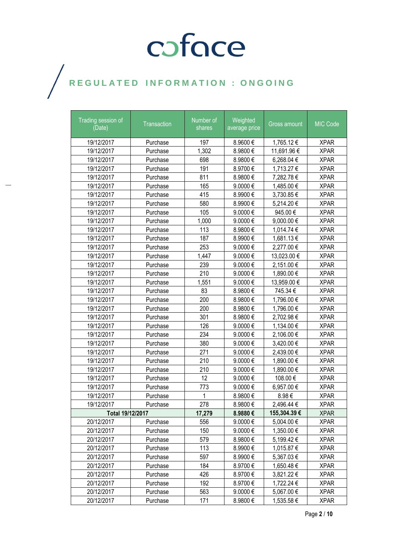| Trading session of<br>(Date) | Transaction | Number of<br>shares | Weighted<br>average price | Gross amount | MIC Code    |
|------------------------------|-------------|---------------------|---------------------------|--------------|-------------|
| 19/12/2017                   | Purchase    | 197                 | 8.9600€                   | 1,765.12 €   | <b>XPAR</b> |
| 19/12/2017                   | Purchase    | 1,302               | 8.9800€                   | 11,691.96€   | <b>XPAR</b> |
| 19/12/2017                   | Purchase    | 698                 | 8.9800€                   | 6,268.04 €   | <b>XPAR</b> |
| 19/12/2017                   | Purchase    | 191                 | 8.9700€                   | 1,713.27 €   | <b>XPAR</b> |
| 19/12/2017                   | Purchase    | 811                 | 8.9800€                   | 7,282.78 €   | <b>XPAR</b> |
| 19/12/2017                   | Purchase    | 165                 | 9.0000€                   | 1,485.00 €   | <b>XPAR</b> |
| 19/12/2017                   | Purchase    | 415                 | 8.9900€                   | 3,730.85 €   | <b>XPAR</b> |
| 19/12/2017                   | Purchase    | 580                 | 8.9900€                   | 5,214.20€    | <b>XPAR</b> |
| 19/12/2017                   | Purchase    | 105                 | 9.0000€                   | 945.00€      | <b>XPAR</b> |
| 19/12/2017                   | Purchase    | 1,000               | 9.0000€                   | 9,000.00 €   | <b>XPAR</b> |
| 19/12/2017                   | Purchase    | 113                 | 8.9800€                   | 1,014.74 €   | <b>XPAR</b> |
| 19/12/2017                   | Purchase    | 187                 | 8.9900€                   | 1,681.13 €   | <b>XPAR</b> |
| 19/12/2017                   | Purchase    | 253                 | 9.0000€                   | 2,277.00 €   | <b>XPAR</b> |
| 19/12/2017                   | Purchase    | 1,447               | 9.0000€                   | 13,023.00 €  | <b>XPAR</b> |
| 19/12/2017                   | Purchase    | 239                 | 9.0000€                   | 2,151.00 €   | <b>XPAR</b> |
| 19/12/2017                   | Purchase    | 210                 | 9.0000€                   | 1,890.00 €   | <b>XPAR</b> |
| 19/12/2017                   | Purchase    | 1,551               | 9.0000€                   | 13,959.00 €  | <b>XPAR</b> |
| 19/12/2017                   | Purchase    | 83                  | 8.9800€                   | 745.34€      | <b>XPAR</b> |
| 19/12/2017                   | Purchase    | 200                 | 8.9800€                   | 1,796.00 €   | <b>XPAR</b> |
| 19/12/2017                   | Purchase    | 200                 | 8.9800€                   | 1,796.00 €   | <b>XPAR</b> |
| 19/12/2017                   | Purchase    | 301                 | 8.9800€                   | 2,702.98€    | <b>XPAR</b> |
| 19/12/2017                   | Purchase    | 126                 | 9.0000€                   | 1,134.00 €   | <b>XPAR</b> |
| 19/12/2017                   | Purchase    | 234                 | 9.0000€                   | 2,106.00 €   | <b>XPAR</b> |
| 19/12/2017                   | Purchase    | 380                 | 9.0000€                   | 3,420.00 €   | <b>XPAR</b> |
| 19/12/2017                   | Purchase    | 271                 | 9.0000€                   | 2,439.00 €   | <b>XPAR</b> |
| 19/12/2017                   | Purchase    | 210                 | 9.0000€                   | 1,890.00 €   | <b>XPAR</b> |
| 19/12/2017                   | Purchase    | 210                 | 9.0000€                   | 1,890.00 €   | <b>XPAR</b> |
| 19/12/2017                   | Purchase    | 12                  | 9.0000€                   | 108.00€      | <b>XPAR</b> |
| 19/12/2017                   | Purchase    | 773                 | 9.0000€                   | 6,957.00 €   | <b>XPAR</b> |
| 19/12/2017                   | Purchase    | 1                   | 8.9800€                   | 8.98€        | <b>XPAR</b> |
| 19/12/2017                   | Purchase    | 278                 | 8.9800€                   | 2,496.44 €   | <b>XPAR</b> |
| Total 19/12/2017             |             | 17,279              | 8.9880€                   | 155,304.39€  | <b>XPAR</b> |
| 20/12/2017                   | Purchase    | 556                 | 9.0000€                   | 5,004.00 €   | <b>XPAR</b> |
| 20/12/2017                   | Purchase    | 150                 | 9.0000€                   | 1,350.00 €   | <b>XPAR</b> |
| 20/12/2017                   | Purchase    | 579                 | 8.9800€                   | 5,199.42 €   | <b>XPAR</b> |
| 20/12/2017                   | Purchase    | 113                 | 8.9900€                   | 1,015.87 €   | <b>XPAR</b> |
| 20/12/2017                   | Purchase    | 597                 | 8.9900€                   | 5,367.03 €   | <b>XPAR</b> |
| 20/12/2017                   | Purchase    | 184                 | 8.9700€                   | 1,650.48 €   | <b>XPAR</b> |
| 20/12/2017                   | Purchase    | 426                 | 8.9700€                   | 3,821.22 €   | <b>XPAR</b> |
| 20/12/2017                   | Purchase    | 192                 | 8.9700€                   | 1,722.24 €   | <b>XPAR</b> |
| 20/12/2017                   | Purchase    | 563                 | 9.0000€                   | 5,067.00 €   | <b>XPAR</b> |
| 20/12/2017                   | Purchase    | 171                 | 8.9800€                   | 1,535.58 €   | <b>XPAR</b> |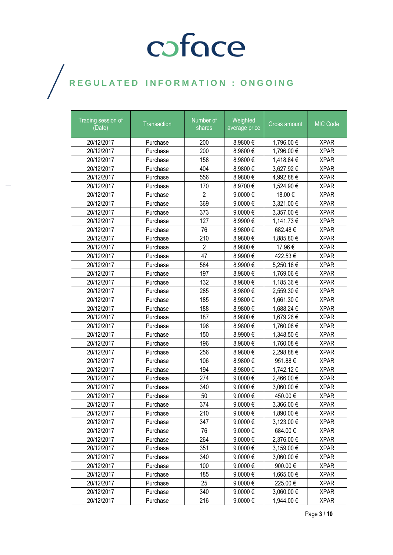| Trading session of<br>(Date) | Transaction | Number of<br>shares | Weighted<br>average price | Gross amount | MIC Code    |
|------------------------------|-------------|---------------------|---------------------------|--------------|-------------|
| 20/12/2017                   | Purchase    | 200                 | 8.9800€                   | 1,796.00 €   | <b>XPAR</b> |
| 20/12/2017                   | Purchase    | 200                 | 8.9800€                   | 1,796.00 €   | <b>XPAR</b> |
| 20/12/2017                   | Purchase    | 158                 | 8.9800€                   | 1,418.84 €   | <b>XPAR</b> |
| 20/12/2017                   | Purchase    | 404                 | 8.9800€                   | 3,627.92€    | <b>XPAR</b> |
| 20/12/2017                   | Purchase    | 556                 | 8.9800€                   | 4,992.88 €   | <b>XPAR</b> |
| 20/12/2017                   | Purchase    | 170                 | 8.9700€                   | 1,524.90 €   | <b>XPAR</b> |
| 20/12/2017                   | Purchase    | $\overline{2}$      | 9.0000€                   | 18.00€       | <b>XPAR</b> |
| 20/12/2017                   | Purchase    | 369                 | 9.0000€                   | 3,321.00 €   | <b>XPAR</b> |
| 20/12/2017                   | Purchase    | 373                 | 9.0000€                   | 3,357.00 €   | <b>XPAR</b> |
| 20/12/2017                   | Purchase    | 127                 | 8.9900€                   | 1,141.73 €   | <b>XPAR</b> |
| 20/12/2017                   | Purchase    | 76                  | 8.9800€                   | 682.48€      | <b>XPAR</b> |
| 20/12/2017                   | Purchase    | 210                 | 8.9800€                   | 1,885.80 €   | <b>XPAR</b> |
| 20/12/2017                   | Purchase    | $\overline{2}$      | 8.9800€                   | 17.96€       | <b>XPAR</b> |
| 20/12/2017                   | Purchase    | 47                  | 8.9900€                   | 422.53€      | <b>XPAR</b> |
| 20/12/2017                   | Purchase    | 584                 | 8.9900€                   | 5,250.16 €   | <b>XPAR</b> |
| 20/12/2017                   | Purchase    | 197                 | 8.9800€                   | 1,769.06 €   | <b>XPAR</b> |
| 20/12/2017                   | Purchase    | 132                 | 8.9800€                   | 1,185.36 €   | <b>XPAR</b> |
| 20/12/2017                   | Purchase    | 285                 | 8.9800€                   | 2,559.30 €   | <b>XPAR</b> |
| 20/12/2017                   | Purchase    | 185                 | 8.9800€                   | 1,661.30 €   | <b>XPAR</b> |
| 20/12/2017                   | Purchase    | 188                 | 8.9800€                   | 1,688.24 €   | <b>XPAR</b> |
| 20/12/2017                   | Purchase    | 187                 | 8.9800€                   | 1,679.26 €   | <b>XPAR</b> |
| 20/12/2017                   | Purchase    | 196                 | 8.9800€                   | 1,760.08 €   | <b>XPAR</b> |
| 20/12/2017                   | Purchase    | 150                 | 8.9900€                   | 1,348.50 €   | <b>XPAR</b> |
| 20/12/2017                   | Purchase    | 196                 | 8.9800€                   | 1,760.08 €   | <b>XPAR</b> |
| 20/12/2017                   | Purchase    | 256                 | 8.9800€                   | 2,298.88 €   | <b>XPAR</b> |
| 20/12/2017                   | Purchase    | 106                 | 8.9800€                   | 951.88€      | <b>XPAR</b> |
| 20/12/2017                   | Purchase    | 194                 | 8.9800€                   | 1,742.12 €   | <b>XPAR</b> |
| 20/12/2017                   | Purchase    | 274                 | 9.0000€                   | 2,466.00 €   | <b>XPAR</b> |
| 20/12/2017                   | Purchase    | 340                 | 9.0000€                   | 3,060.00 €   | <b>XPAR</b> |
| 20/12/2017                   | Purchase    | 50                  | 9.0000€                   | 450.00€      | <b>XPAR</b> |
| 20/12/2017                   | Purchase    | 374                 | 9.0000€                   | 3,366.00 €   | <b>XPAR</b> |
| 20/12/2017                   | Purchase    | 210                 | 9.0000€                   | 1,890.00 €   | <b>XPAR</b> |
| 20/12/2017                   | Purchase    | 347                 | 9.0000€                   | 3,123.00 €   | <b>XPAR</b> |
| 20/12/2017                   | Purchase    | 76                  | 9.0000€                   | 684.00 €     | <b>XPAR</b> |
| 20/12/2017                   | Purchase    | 264                 | 9.0000€                   | 2,376.00 €   | <b>XPAR</b> |
| 20/12/2017                   | Purchase    | 351                 | 9.0000€                   | 3,159.00 €   | <b>XPAR</b> |
| 20/12/2017                   | Purchase    | 340                 | 9.0000€                   | 3,060.00 €   | <b>XPAR</b> |
| 20/12/2017                   | Purchase    | 100                 | 9.0000€                   | 900.00€      | <b>XPAR</b> |
| 20/12/2017                   | Purchase    | 185                 | 9.0000€                   | 1,665.00 €   | <b>XPAR</b> |
| 20/12/2017                   | Purchase    | 25                  | 9.0000€                   | 225.00€      | <b>XPAR</b> |
| 20/12/2017                   | Purchase    | 340                 | 9.0000€                   | 3,060.00 €   | <b>XPAR</b> |
| 20/12/2017                   | Purchase    | 216                 | 9.0000€                   | 1,944.00 €   | <b>XPAR</b> |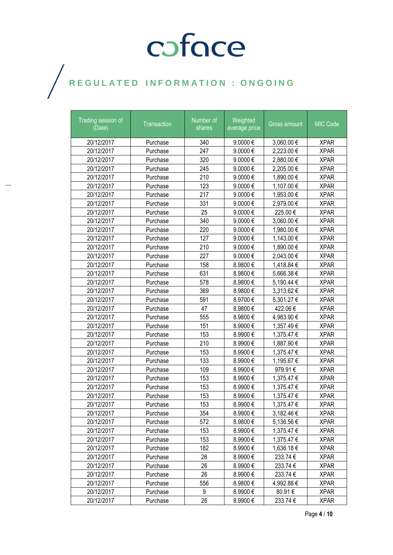| Trading session of<br>(Date) | Transaction | Number of<br>shares | Weighted<br>average price | Gross amount   | MIC Code    |
|------------------------------|-------------|---------------------|---------------------------|----------------|-------------|
| 20/12/2017                   | Purchase    | 340                 | 9.0000€                   | 3,060.00 €     | <b>XPAR</b> |
| 20/12/2017                   | Purchase    | 247                 | 9.0000€                   | 2,223.00 €     | <b>XPAR</b> |
| 20/12/2017                   | Purchase    | 320                 | 9.0000€                   | 2,880.00 €     | <b>XPAR</b> |
| 20/12/2017                   | Purchase    | 245                 | 9.0000€                   | 2,205.00 €     | <b>XPAR</b> |
| 20/12/2017                   | Purchase    | 210                 | 9.0000€                   | 1,890.00 €     | <b>XPAR</b> |
| 20/12/2017                   | Purchase    | 123                 | 9.0000€                   | 1,107.00 €     | <b>XPAR</b> |
| 20/12/2017                   | Purchase    | 217                 | 9.0000€                   | 1,953.00 €     | <b>XPAR</b> |
| 20/12/2017                   | Purchase    | 331                 | 9.0000€                   | 2,979.00 €     | <b>XPAR</b> |
| 20/12/2017                   | Purchase    | 25                  | 9.0000€                   | 225.00€        | <b>XPAR</b> |
| 20/12/2017                   | Purchase    | 340                 | 9.0000€                   | 3,060.00 €     | <b>XPAR</b> |
| 20/12/2017                   | Purchase    | 220                 | 9.0000€                   | 1,980.00 €     | <b>XPAR</b> |
| 20/12/2017                   | Purchase    | 127                 | 9.0000€                   | 1,143.00 €     | <b>XPAR</b> |
| 20/12/2017                   | Purchase    | 210                 | 9.0000€                   | 1,890.00 €     | <b>XPAR</b> |
| 20/12/2017                   | Purchase    | 227                 | 9.0000€                   | 2,043.00 €     | <b>XPAR</b> |
| 20/12/2017                   | Purchase    | 158                 | 8.9800€                   | 1,418.84 €     | <b>XPAR</b> |
| 20/12/2017                   | Purchase    | 631                 | 8.9800€                   | 5,666.38 €     | <b>XPAR</b> |
| 20/12/2017                   | Purchase    | 578                 | 8.9800€                   | 5,190.44 €     | <b>XPAR</b> |
| 20/12/2017                   | Purchase    | 369                 | 8.9800€                   | 3,313.62 €     | <b>XPAR</b> |
| 20/12/2017                   | Purchase    | 591                 | 8.9700€                   | 5,301.27 €     | <b>XPAR</b> |
| 20/12/2017                   | Purchase    | 47                  | 8.9800€                   | 422.06€        | <b>XPAR</b> |
| 20/12/2017                   | Purchase    | 555                 | 8.9800€                   | 4,983.90 €     | <b>XPAR</b> |
| 20/12/2017                   | Purchase    | 151                 | 8.9900€                   | 1,357.49€      | <b>XPAR</b> |
| 20/12/2017                   | Purchase    | 153                 | 8.9900€                   | 1,375.47 €     | <b>XPAR</b> |
| 20/12/2017                   | Purchase    | 210                 | 8.9900€                   | 1,887.90 €     | <b>XPAR</b> |
| 20/12/2017                   | Purchase    | 153                 | 8.9900€                   | 1,375.47 €     | <b>XPAR</b> |
| 20/12/2017                   | Purchase    | 133                 | 8.9900€                   | 1,195.67 €     | <b>XPAR</b> |
| 20/12/2017                   | Purchase    | 109                 | 8.9900€                   | 979.91€        | <b>XPAR</b> |
| 20/12/2017                   | Purchase    | 153                 | 8.9900€                   | 1,375.47 €     | <b>XPAR</b> |
| 20/12/2017                   | Purchase    | 153                 | 8.9900€                   | 1,375.47 €     | <b>XPAR</b> |
| 20/12/2017                   | Purchase    | 153                 | 8.9900€                   | 1,375.47 €     | <b>XPAR</b> |
| 20/12/2017                   | Purchase    | 153                 | 8.9900€                   | 1,375.47 €     | <b>XPAR</b> |
| 20/12/2017                   | Purchase    | 354                 | 8.9900€                   | $3,182.46 \in$ | <b>XPAR</b> |
| 20/12/2017                   | Purchase    | 572                 | 8.9800€                   | 5,136.56 €     | <b>XPAR</b> |
| 20/12/2017                   | Purchase    | 153                 | 8.9900€                   | 1,375.47 €     | <b>XPAR</b> |
| 20/12/2017                   | Purchase    | 153                 | 8.9900€                   | 1,375.47 €     | <b>XPAR</b> |
| 20/12/2017                   | Purchase    | 182                 | 8.9900€                   | 1,636.18 €     | <b>XPAR</b> |
| 20/12/2017                   | Purchase    | 26                  | 8.9900€                   | 233.74 €       | <b>XPAR</b> |
| 20/12/2017                   | Purchase    | 26                  | 8.9900€                   | 233.74 €       | <b>XPAR</b> |
| 20/12/2017                   | Purchase    | 26                  | 8.9900€                   | 233.74€        | <b>XPAR</b> |
| 20/12/2017                   | Purchase    | 556                 | 8.9800€                   | 4,992.88 €     | <b>XPAR</b> |
| 20/12/2017                   | Purchase    | 9                   | 8.9900€                   | 80.91€         | <b>XPAR</b> |
| 20/12/2017                   | Purchase    | 26                  | 8.9900€                   | 233.74 €       | <b>XPAR</b> |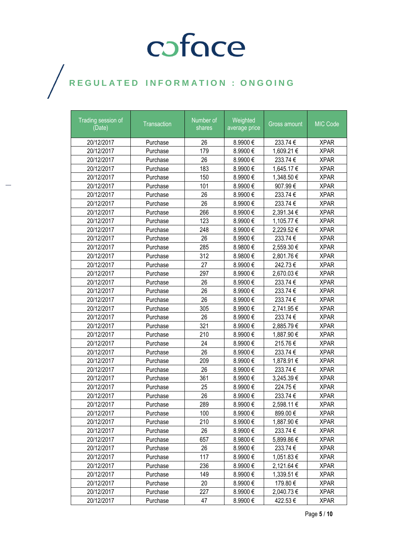| Trading session of<br>(Date) | Transaction | Number of<br>shares | Weighted<br>average price | Gross amount | MIC Code    |
|------------------------------|-------------|---------------------|---------------------------|--------------|-------------|
| 20/12/2017                   | Purchase    | 26                  | 8.9900€                   | 233.74 €     | <b>XPAR</b> |
| 20/12/2017                   | Purchase    | 179                 | 8.9900€                   | 1,609.21 €   | <b>XPAR</b> |
| 20/12/2017                   | Purchase    | 26                  | 8.9900€                   | 233.74 €     | <b>XPAR</b> |
| 20/12/2017                   | Purchase    | 183                 | 8.9900€                   | 1,645.17 €   | <b>XPAR</b> |
| 20/12/2017                   | Purchase    | 150                 | 8.9900€                   | 1,348.50 €   | <b>XPAR</b> |
| 20/12/2017                   | Purchase    | 101                 | 8.9900€                   | 907.99€      | <b>XPAR</b> |
| 20/12/2017                   | Purchase    | 26                  | 8.9900€                   | 233.74 €     | <b>XPAR</b> |
| 20/12/2017                   | Purchase    | 26                  | 8.9900€                   | 233.74 €     | <b>XPAR</b> |
| 20/12/2017                   | Purchase    | 266                 | 8.9900€                   | 2,391.34 €   | <b>XPAR</b> |
| 20/12/2017                   | Purchase    | 123                 | 8.9900€                   | 1,105.77 €   | <b>XPAR</b> |
| 20/12/2017                   | Purchase    | 248                 | 8.9900€                   | 2,229.52€    | <b>XPAR</b> |
| 20/12/2017                   | Purchase    | 26                  | 8.9900€                   | 233.74€      | <b>XPAR</b> |
| 20/12/2017                   | Purchase    | 285                 | 8.9800€                   | 2,559.30 €   | <b>XPAR</b> |
| 20/12/2017                   | Purchase    | 312                 | 8.9800€                   | 2,801.76€    | <b>XPAR</b> |
| 20/12/2017                   | Purchase    | 27                  | 8.9900€                   | 242.73€      | <b>XPAR</b> |
| 20/12/2017                   | Purchase    | 297                 | 8.9900€                   | 2,670.03 €   | <b>XPAR</b> |
| 20/12/2017                   | Purchase    | 26                  | 8.9900€                   | 233.74 €     | <b>XPAR</b> |
| 20/12/2017                   | Purchase    | 26                  | 8.9900€                   | 233.74€      | <b>XPAR</b> |
| 20/12/2017                   | Purchase    | 26                  | 8.9900€                   | 233.74€      | <b>XPAR</b> |
| 20/12/2017                   | Purchase    | 305                 | 8.9900€                   | 2,741.95 €   | <b>XPAR</b> |
| 20/12/2017                   | Purchase    | 26                  | 8.9900€                   | 233.74 €     | <b>XPAR</b> |
| 20/12/2017                   | Purchase    | 321                 | 8.9900€                   | 2,885.79€    | <b>XPAR</b> |
| 20/12/2017                   | Purchase    | 210                 | 8.9900€                   | 1,887.90 €   | <b>XPAR</b> |
| 20/12/2017                   | Purchase    | 24                  | 8.9900€                   | 215.76€      | <b>XPAR</b> |
| 20/12/2017                   | Purchase    | 26                  | 8.9900€                   | 233.74€      | <b>XPAR</b> |
| 20/12/2017                   | Purchase    | 209                 | 8.9900€                   | 1,878.91 €   | <b>XPAR</b> |
| 20/12/2017                   | Purchase    | 26                  | 8.9900€                   | 233.74 €     | <b>XPAR</b> |
| 20/12/2017                   | Purchase    | 361                 | 8.9900€                   | 3,245.39 €   | <b>XPAR</b> |
| 20/12/2017                   | Purchase    | 25                  | 8.9900€                   | 224.75€      | <b>XPAR</b> |
| 20/12/2017                   | Purchase    | 26                  | 8.9900€                   | 233.74€      | <b>XPAR</b> |
| 20/12/2017                   | Purchase    | 289                 | 8.9900€                   | 2,598.11 €   | <b>XPAR</b> |
| 20/12/2017                   | Purchase    | 100                 | 8.9900€                   | 899.00€      | <b>XPAR</b> |
| 20/12/2017                   | Purchase    | 210                 | 8.9900€                   | 1,887.90 €   | <b>XPAR</b> |
| 20/12/2017                   | Purchase    | 26                  | 8.9900€                   | 233.74 €     | <b>XPAR</b> |
| 20/12/2017                   | Purchase    | 657                 | 8.9800€                   | 5,899.86 €   | <b>XPAR</b> |
| 20/12/2017                   | Purchase    | 26                  | 8.9900€                   | 233.74 €     | <b>XPAR</b> |
| 20/12/2017                   | Purchase    | 117                 | 8.9900€                   | 1,051.83 €   | <b>XPAR</b> |
| 20/12/2017                   | Purchase    | 236                 | 8.9900€                   | 2,121.64 €   | <b>XPAR</b> |
| 20/12/2017                   | Purchase    | 149                 | 8.9900€                   | 1,339.51 €   | <b>XPAR</b> |
| 20/12/2017                   | Purchase    | 20                  | 8.9900€                   | 179.80€      | <b>XPAR</b> |
| 20/12/2017                   | Purchase    | 227                 | 8.9900€                   | 2,040.73 €   | <b>XPAR</b> |
| 20/12/2017                   | Purchase    | 47                  | 8.9900€                   | 422.53€      | <b>XPAR</b> |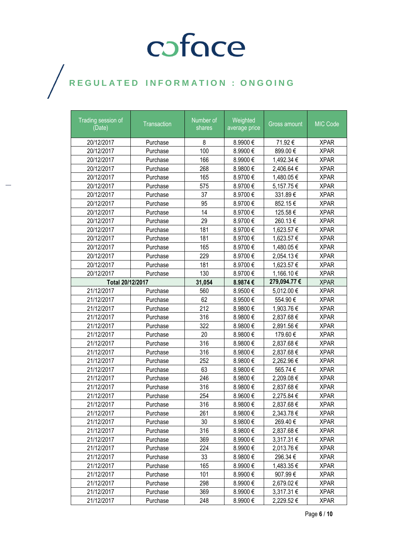| Trading session of<br>(Date) | Transaction | Number of<br>shares | Weighted<br>average price | Gross amount   | MIC Code    |
|------------------------------|-------------|---------------------|---------------------------|----------------|-------------|
| 20/12/2017                   | Purchase    | 8                   | 8.9900€                   | 71.92€         | <b>XPAR</b> |
| 20/12/2017                   | Purchase    | 100                 | 8.9900€                   | 899.00€        | <b>XPAR</b> |
| 20/12/2017                   | Purchase    | 166                 | 8.9900€                   | 1,492.34 €     | <b>XPAR</b> |
| 20/12/2017                   | Purchase    | 268                 | 8.9800€                   | 2,406.64 €     | <b>XPAR</b> |
| 20/12/2017                   | Purchase    | 165                 | 8.9700€                   | 1,480.05 €     | <b>XPAR</b> |
| 20/12/2017                   | Purchase    | 575                 | 8.9700€                   | 5,157.75€      | <b>XPAR</b> |
| 20/12/2017                   | Purchase    | 37                  | 8.9700€                   | 331.89€        | <b>XPAR</b> |
| 20/12/2017                   | Purchase    | 95                  | 8.9700€                   | 852.15€        | <b>XPAR</b> |
| 20/12/2017                   | Purchase    | 14                  | 8.9700€                   | 125.58€        | <b>XPAR</b> |
| 20/12/2017                   | Purchase    | 29                  | 8.9700€                   | 260.13€        | <b>XPAR</b> |
| 20/12/2017                   | Purchase    | 181                 | 8.9700€                   | 1,623.57 €     | <b>XPAR</b> |
| 20/12/2017                   | Purchase    | 181                 | 8.9700€                   | 1,623.57 €     | <b>XPAR</b> |
| 20/12/2017                   | Purchase    | 165                 | 8.9700€                   | 1,480.05 €     | <b>XPAR</b> |
| 20/12/2017                   | Purchase    | 229                 | 8.9700€                   | 2,054.13€      | <b>XPAR</b> |
| 20/12/2017                   | Purchase    | 181                 | 8.9700€                   | 1,623.57 €     | <b>XPAR</b> |
| 20/12/2017                   | Purchase    | 130                 | 8.9700€                   | 1,166.10 €     | <b>XPAR</b> |
| Total 20/12/2017             |             | 31,054              | 8.9874€                   | 279,094.77 €   | <b>XPAR</b> |
| 21/12/2017                   | Purchase    | 560                 | 8.9500€                   | 5,012.00 €     | <b>XPAR</b> |
| 21/12/2017                   | Purchase    | 62                  | 8.9500€                   | 554.90€        | <b>XPAR</b> |
| 21/12/2017                   | Purchase    | 212                 | 8.9800€                   | 1,903.76 €     | <b>XPAR</b> |
| 21/12/2017                   | Purchase    | 316                 | 8.9800€                   | 2,837.68 €     | <b>XPAR</b> |
| 21/12/2017                   | Purchase    | 322                 | 8.9800€                   | 2,891.56€      | <b>XPAR</b> |
| 21/12/2017                   | Purchase    | 20                  | 8.9800€                   | 179.60€        | <b>XPAR</b> |
| 21/12/2017                   | Purchase    | 316                 | 8.9800€                   | 2,837.68 €     | <b>XPAR</b> |
| 21/12/2017                   | Purchase    | 316                 | 8.9800€                   | 2,837.68€      | <b>XPAR</b> |
| 21/12/2017                   | Purchase    | 252                 | 8.9800€                   | 2,262.96 €     | <b>XPAR</b> |
| 21/12/2017                   | Purchase    | 63                  | 8.9800€                   | 565.74€        | <b>XPAR</b> |
| 21/12/2017                   | Purchase    | 246                 | 8.9800€                   | 2,209.08 €     | <b>XPAR</b> |
| 21/12/2017                   | Purchase    | 316                 | 8.9800€                   | 2,837.68€      | <b>XPAR</b> |
| 21/12/2017                   | Purchase    | 254                 | 8.9600€                   | 2,275.84 €     | <b>XPAR</b> |
| 21/12/2017                   | Purchase    | 316                 | 8.9800€                   | 2,837.68 €     | <b>XPAR</b> |
| 21/12/2017                   | Purchase    | 261                 | 8.9800€                   | 2,343.78 €     | <b>XPAR</b> |
| 21/12/2017                   | Purchase    | 30                  | 8.9800€                   | 269.40€        | <b>XPAR</b> |
| 21/12/2017                   | Purchase    | 316                 | 8.9800€                   | 2,837.68€      | <b>XPAR</b> |
| 21/12/2017                   | Purchase    | 369                 | 8.9900€                   | 3,317.31 €     | <b>XPAR</b> |
| 21/12/2017                   | Purchase    | 224                 | 8.9900€                   | 2,013.76 €     | <b>XPAR</b> |
| 21/12/2017                   | Purchase    | 33                  | 8.9800€                   | 296.34€        | <b>XPAR</b> |
| 21/12/2017                   | Purchase    | 165                 | 8.9900€                   | 1,483.35 €     | <b>XPAR</b> |
| 21/12/2017                   | Purchase    | 101                 | 8.9900€                   | 907.99€        | <b>XPAR</b> |
| 21/12/2017                   | Purchase    | 298                 | 8.9900€                   | 2,679.02 €     | <b>XPAR</b> |
| 21/12/2017                   | Purchase    | 369                 | 8.9900€                   | $3,317.31 \in$ | <b>XPAR</b> |
| 21/12/2017                   | Purchase    | 248                 | 8.9900€                   | 2,229.52 €     | <b>XPAR</b> |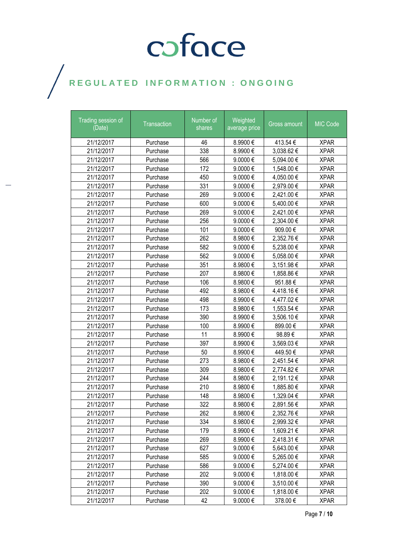| Trading session of<br>(Date) | Transaction | Number of<br>shares | Weighted<br>average price | Gross amount | <b>MIC Code</b> |
|------------------------------|-------------|---------------------|---------------------------|--------------|-----------------|
| 21/12/2017                   | Purchase    | 46                  | 8.9900€                   | 413.54 €     | <b>XPAR</b>     |
| 21/12/2017                   | Purchase    | 338                 | 8.9900€                   | 3,038.62€    | <b>XPAR</b>     |
| 21/12/2017                   | Purchase    | 566                 | 9.0000€                   | 5,094.00 €   | <b>XPAR</b>     |
| 21/12/2017                   | Purchase    | 172                 | 9.0000€                   | 1,548.00 €   | <b>XPAR</b>     |
| 21/12/2017                   | Purchase    | 450                 | 9.0000€                   | 4,050.00 €   | <b>XPAR</b>     |
| 21/12/2017                   | Purchase    | 331                 | 9.0000€                   | 2,979.00 €   | <b>XPAR</b>     |
| 21/12/2017                   | Purchase    | 269                 | 9.0000€                   | 2,421.00 €   | <b>XPAR</b>     |
| 21/12/2017                   | Purchase    | 600                 | 9.0000€                   | 5,400.00 €   | <b>XPAR</b>     |
| 21/12/2017                   | Purchase    | 269                 | 9.0000€                   | 2,421.00 €   | <b>XPAR</b>     |
| 21/12/2017                   | Purchase    | 256                 | 9.0000€                   | 2,304.00 €   | <b>XPAR</b>     |
| 21/12/2017                   | Purchase    | 101                 | 9.0000€                   | 909.00€      | <b>XPAR</b>     |
| 21/12/2017                   | Purchase    | 262                 | 8.9800€                   | 2,352.76 €   | <b>XPAR</b>     |
| 21/12/2017                   | Purchase    | 582                 | 9.0000€                   | 5,238.00 €   | <b>XPAR</b>     |
| 21/12/2017                   | Purchase    | 562                 | 9.0000€                   | 5,058.00 €   | <b>XPAR</b>     |
| 21/12/2017                   | Purchase    | 351                 | 8.9800€                   | 3,151.98 €   | <b>XPAR</b>     |
| 21/12/2017                   | Purchase    | 207                 | 8.9800€                   | 1,858.86 €   | <b>XPAR</b>     |
| 21/12/2017                   | Purchase    | 106                 | 8.9800€                   | 951.88€      | <b>XPAR</b>     |
| 21/12/2017                   | Purchase    | 492                 | 8.9800€                   | 4,418.16€    | <b>XPAR</b>     |
| 21/12/2017                   | Purchase    | 498                 | 8.9900€                   | 4,477.02€    | <b>XPAR</b>     |
| 21/12/2017                   | Purchase    | 173                 | 8.9800€                   | 1,553.54 €   | <b>XPAR</b>     |
| 21/12/2017                   | Purchase    | 390                 | 8.9900€                   | 3,506.10 €   | <b>XPAR</b>     |
| 21/12/2017                   | Purchase    | 100                 | 8.9900€                   | 899.00€      | <b>XPAR</b>     |
| 21/12/2017                   | Purchase    | 11                  | 8.9900€                   | 98.89€       | <b>XPAR</b>     |
| 21/12/2017                   | Purchase    | 397                 | 8.9900€                   | 3,569.03€    | <b>XPAR</b>     |
| 21/12/2017                   | Purchase    | 50                  | 8.9900€                   | 449.50€      | <b>XPAR</b>     |
| 21/12/2017                   | Purchase    | 273                 | 8.9800€                   | 2,451.54 €   | <b>XPAR</b>     |
| 21/12/2017                   | Purchase    | 309                 | 8.9800€                   | 2,774.82 €   | <b>XPAR</b>     |
| 21/12/2017                   | Purchase    | 244                 | 8.9800€                   | 2,191.12€    | <b>XPAR</b>     |
| 21/12/2017                   | Purchase    | 210                 | 8.9800€                   | 1,885.80 €   | <b>XPAR</b>     |
| 21/12/2017                   | Purchase    | 148                 | 8.9800€                   | 1,329.04 €   | <b>XPAR</b>     |
| 21/12/2017                   | Purchase    | 322                 | 8.9800€                   | 2,891.56€    | <b>XPAR</b>     |
| 21/12/2017                   | Purchase    | 262                 | 8.9800€                   | 2,352.76 €   | <b>XPAR</b>     |
| 21/12/2017                   | Purchase    | 334                 | 8.9800€                   | 2,999.32 €   | <b>XPAR</b>     |
| 21/12/2017                   | Purchase    | 179                 | 8.9900€                   | 1,609.21 €   | <b>XPAR</b>     |
| 21/12/2017                   | Purchase    | 269                 | 8.9900€                   | 2,418.31 €   | <b>XPAR</b>     |
| 21/12/2017                   | Purchase    | 627                 | 9.0000€                   | 5,643.00 €   | <b>XPAR</b>     |
| 21/12/2017                   | Purchase    | 585                 | 9.0000€                   | 5,265.00 €   | <b>XPAR</b>     |
| 21/12/2017                   | Purchase    | 586                 | 9.0000€                   | 5,274.00 €   | <b>XPAR</b>     |
| 21/12/2017                   | Purchase    | 202                 | 9.0000€                   | 1,818.00 €   | <b>XPAR</b>     |
| 21/12/2017                   | Purchase    | 390                 | 9.0000€                   | 3,510.00 €   | <b>XPAR</b>     |
| 21/12/2017                   | Purchase    | 202                 | 9.0000 €                  | 1,818.00 €   | <b>XPAR</b>     |
| 21/12/2017                   | Purchase    | 42                  | 9.0000€                   | 378.00€      | <b>XPAR</b>     |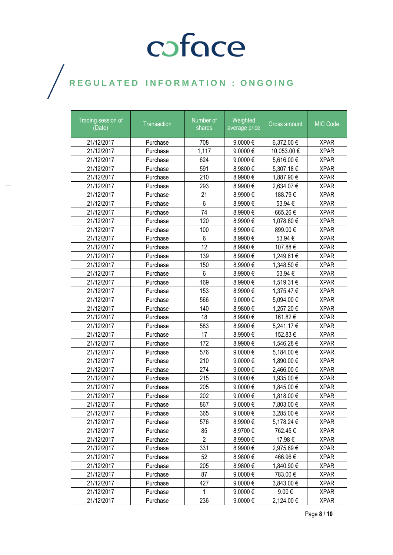| Trading session of<br>(Date) | Transaction | Number of<br>shares | Weighted<br>average price | Gross amount | MIC Code    |
|------------------------------|-------------|---------------------|---------------------------|--------------|-------------|
| 21/12/2017                   | Purchase    | 708                 | 9.0000€                   | 6,372.00 €   | <b>XPAR</b> |
| 21/12/2017                   | Purchase    | 1,117               | 9.0000€                   | 10,053.00€   | <b>XPAR</b> |
| 21/12/2017                   | Purchase    | 624                 | 9.0000€                   | 5,616.00 €   | <b>XPAR</b> |
| 21/12/2017                   | Purchase    | 591                 | 8.9800€                   | 5,307.18€    | <b>XPAR</b> |
| 21/12/2017                   | Purchase    | 210                 | 8.9900€                   | 1,887.90 €   | <b>XPAR</b> |
| 21/12/2017                   | Purchase    | 293                 | 8.9900€                   | 2,634.07€    | <b>XPAR</b> |
| 21/12/2017                   | Purchase    | 21                  | 8.9900€                   | 188.79€      | <b>XPAR</b> |
| 21/12/2017                   | Purchase    | 6                   | 8.9900€                   | 53.94 €      | <b>XPAR</b> |
| 21/12/2017                   | Purchase    | 74                  | 8.9900€                   | 665.26€      | <b>XPAR</b> |
| 21/12/2017                   | Purchase    | 120                 | 8.9900€                   | 1,078.80 €   | <b>XPAR</b> |
| 21/12/2017                   | Purchase    | 100                 | 8.9900€                   | 899.00€      | <b>XPAR</b> |
| 21/12/2017                   | Purchase    | 6                   | 8.9900€                   | 53.94€       | <b>XPAR</b> |
| 21/12/2017                   | Purchase    | 12                  | 8.9900€                   | 107.88€      | <b>XPAR</b> |
| 21/12/2017                   | Purchase    | 139                 | 8.9900€                   | 1,249.61 €   | <b>XPAR</b> |
| 21/12/2017                   | Purchase    | 150                 | 8.9900€                   | 1,348.50 €   | <b>XPAR</b> |
| 21/12/2017                   | Purchase    | 6                   | 8.9900€                   | 53.94 €      | <b>XPAR</b> |
| 21/12/2017                   | Purchase    | 169                 | 8.9900€                   | 1,519.31 €   | <b>XPAR</b> |
| 21/12/2017                   | Purchase    | 153                 | 8.9900€                   | 1,375.47 €   | <b>XPAR</b> |
| 21/12/2017                   | Purchase    | 566                 | 9.0000€                   | 5,094.00 €   | <b>XPAR</b> |
| 21/12/2017                   | Purchase    | 140                 | 8.9800€                   | 1,257.20 €   | <b>XPAR</b> |
| 21/12/2017                   | Purchase    | 18                  | 8.9900€                   | 161.82€      | <b>XPAR</b> |
| 21/12/2017                   | Purchase    | 583                 | 8.9900€                   | 5,241.17 €   | <b>XPAR</b> |
| 21/12/2017                   | Purchase    | 17                  | 8.9900€                   | 152.83€      | <b>XPAR</b> |
| 21/12/2017                   | Purchase    | 172                 | 8.9900€                   | 1,546.28 €   | <b>XPAR</b> |
| 21/12/2017                   | Purchase    | 576                 | 9.0000€                   | 5,184.00 €   | <b>XPAR</b> |
| 21/12/2017                   | Purchase    | 210                 | 9.0000€                   | 1,890.00 €   | <b>XPAR</b> |
| 21/12/2017                   | Purchase    | 274                 | 9.0000€                   | 2,466.00 €   | <b>XPAR</b> |
| 21/12/2017                   | Purchase    | 215                 | 9.0000€                   | 1,935.00 €   | <b>XPAR</b> |
| 21/12/2017                   | Purchase    | 205                 | 9.0000€                   | 1,845.00 €   | <b>XPAR</b> |
| 21/12/2017                   | Purchase    | 202                 | 9.0000€                   | 1,818.00 €   | <b>XPAR</b> |
| 21/12/2017                   | Purchase    | 867                 | 9.0000€                   | 7,803.00 €   | <b>XPAR</b> |
| 21/12/2017                   | Purchase    | 365                 | 9.0000 €                  | 3,285.00 €   | <b>XPAR</b> |
| 21/12/2017                   | Purchase    | 576                 | 8.9900€                   | 5,178.24 €   | <b>XPAR</b> |
| 21/12/2017                   | Purchase    | 85                  | 8.9700€                   | 762.45€      | <b>XPAR</b> |
| 21/12/2017                   | Purchase    | 2                   | 8.9900€                   | 17.98 €      | <b>XPAR</b> |
| 21/12/2017                   | Purchase    | 331                 | 8.9900€                   | 2,975.69€    | <b>XPAR</b> |
| 21/12/2017                   | Purchase    | 52                  | 8.9800€                   | 466.96€      | <b>XPAR</b> |
| 21/12/2017                   | Purchase    | 205                 | 8.9800€                   | 1,840.90 €   | <b>XPAR</b> |
| 21/12/2017                   | Purchase    | 87                  | 9.0000€                   | 783.00€      | <b>XPAR</b> |
| 21/12/2017                   | Purchase    | 427                 | 9.0000€                   | 3,843.00 €   | <b>XPAR</b> |
| 21/12/2017                   | Purchase    | 1                   | 9.0000 €                  | $9.00 \in$   | <b>XPAR</b> |
| 21/12/2017                   | Purchase    | 236                 | 9.0000€                   | 2,124.00 €   | <b>XPAR</b> |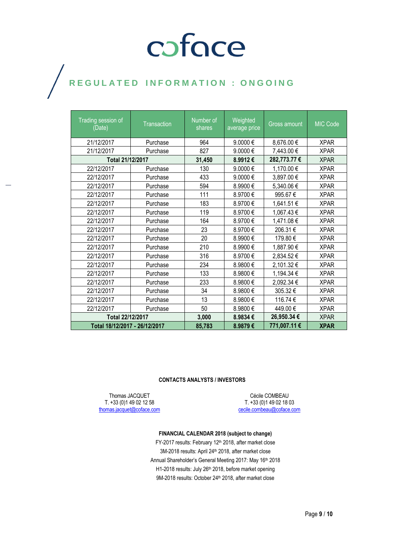## coface

#### REGULATED INFORMATION : ONGOING  $\bigg)$

| <b>Trading session of</b><br>(Date) | <b>Transaction</b> | Number of<br>shares | Weighted<br>average price | <b>Gross amount</b> | MIC Code    |
|-------------------------------------|--------------------|---------------------|---------------------------|---------------------|-------------|
| 21/12/2017                          | Purchase           | 964                 | 9.0000€                   | 8,676.00 €          | <b>XPAR</b> |
| 21/12/2017                          | Purchase           | 827                 | 9.0000€                   | 7,443.00 €          | <b>XPAR</b> |
| Total 21/12/2017                    |                    | 31,450              | 8.9912€                   | 282,773.77 €        | <b>XPAR</b> |
| 22/12/2017                          | Purchase           | 130                 | 9.0000€                   | 1,170.00 €          | <b>XPAR</b> |
| 22/12/2017                          | Purchase           | 433                 | 9.0000€                   | 3,897.00 €          | <b>XPAR</b> |
| 22/12/2017                          | Purchase           | 594                 | 8.9900€                   | 5,340.06 €          | <b>XPAR</b> |
| 22/12/2017                          | Purchase           | 111                 | 8.9700€                   | 995.67€             | <b>XPAR</b> |
| 22/12/2017                          | Purchase           | 183                 | 8.9700€                   | 1,641.51 €          | <b>XPAR</b> |
| 22/12/2017                          | Purchase           | 119                 | 8.9700€                   | 1,067.43 €          | <b>XPAR</b> |
| 22/12/2017                          | Purchase           | 164                 | 8.9700€                   | 1,471.08 €          | <b>XPAR</b> |
| 22/12/2017                          | Purchase           | 23                  | 8.9700€                   | 206.31€             | <b>XPAR</b> |
| 22/12/2017                          | Purchase           | 20                  | 8.9900€                   | 179.80€             | <b>XPAR</b> |
| 22/12/2017                          | Purchase           | 210                 | 8.9900€                   | 1,887.90 €          | <b>XPAR</b> |
| 22/12/2017                          | Purchase           | 316                 | 8.9700€                   | 2,834.52 €          | <b>XPAR</b> |
| 22/12/2017                          | Purchase           | 234                 | 8.9800€                   | 2,101.32 €          | <b>XPAR</b> |
| 22/12/2017                          | Purchase           | 133                 | 8.9800€                   | 1,194.34 €          | <b>XPAR</b> |
| 22/12/2017                          | Purchase           | 233                 | 8.9800€                   | 2,092.34 €          | <b>XPAR</b> |
| 22/12/2017                          | Purchase           | 34                  | 8.9800€                   | 305.32€             | <b>XPAR</b> |
| 22/12/2017                          | Purchase           | 13                  | 8.9800€                   | 116.74€             | <b>XPAR</b> |
| 22/12/2017                          | Purchase           | 50                  | 8.9800€                   | 449.00€             | <b>XPAR</b> |
| Total 22/12/2017                    |                    | 3,000               | 8.9834€                   | 26,950.34 €         | <b>XPAR</b> |
| Total 18/12/2017 - 26/12/2017       |                    | 85,783              | 8.9879€                   | 771,007.11 €        | <b>XPAR</b> |

#### **CONTACTS ANALYSTS / INVESTORS**

Thomas JACQUET T. +33 (0)1 49 02 12 58 [thomas.jacquet@coface.com](mailto:thomas.jacquet@coface.com)

Cécile COMBEAU T. +33 (0)1 49 02 18 03 [cecile.combeau@coface.com](mailto:cecile.combeau@coface.com)

#### **FINANCIAL CALENDAR 2018 (subject to change)**

FY-2017 results: February 12<sup>th</sup> 2018, after market close 3M-2018 results: April 24<sup>th</sup> 2018, after market close Annual Shareholder's General Meeting 2017: May 16th 2018 H1-2018 results: July 26th 2018, before market opening 9M-2018 results: October 24<sup>th</sup> 2018, after market close